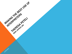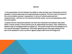## Abstract

 In this presentation the link between the ability to make the best use of interpreters and the assessor's cultural awareness and responsiveness is explored. This link is part and parcel of the communication process in assessment. In terms of cultural awareness and responsiveness, I will focus on the cultural and family values, norms and expectations within the client system.

I propose that the interactions between the client and interpreter and assessor take place within a social context in which themes such as relationships and status, roles, traditional vs Western ways of managing health are played out. This social context forms the background of the cultural exchange in assessment. Information gathering and client goal setting on the part of the assessor to come up with an agreed support plan forms the foreground.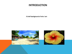## INTRODUCTION

A brief background of who I am

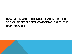## HOW IMPORTANT IS THE ROLE OF AN INTERPRETER TO ENSURE PEOPLE FEEL COMFORTABLE WITH THE NASC PROCESS?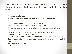Some points to consider for cultural responsiveness to make the most of using interpreters; I will expand on these points with the rest of my slides.

- The client's mother tongue
- Building rapport with your client prior to engaging an interpreter
- Cultural sensitivity
- Cultural norms around homecare vs residential care
- Daycare or respite care for carer stress management
- Using a professional interpreter vs a family member and/or caregiver as interpreter
- Extent of client's dependency on the interpreter to represent him/her for linguistic purposes in the assessment
- The relationship between client and interpreter, importance of the approach
- Gender factors affecting communication and/or assigned to carry out practical support tasks
- Any reported family dynamics
- EPOA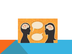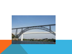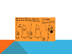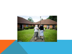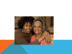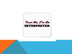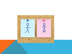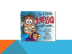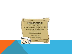